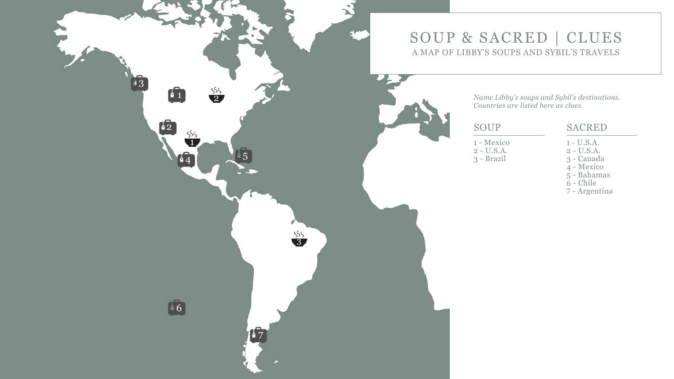

- 1 Mexico 2 - U.S.A.
- 3 Brazil

*Name Libby's soups and Sybil's destinations. Countries are listed here as clues.*

### SACRED

- 1 U.S.A.
- 2 U.S.A.
- 3 Canada
- 4 Mexico
- 5 Bahamas
- 6 Chile
- 7 Argentina



# SOUP & SACRED | CLUES A MAP OF LIBBY'S SOUPS AND SYBIL'S TRAVELS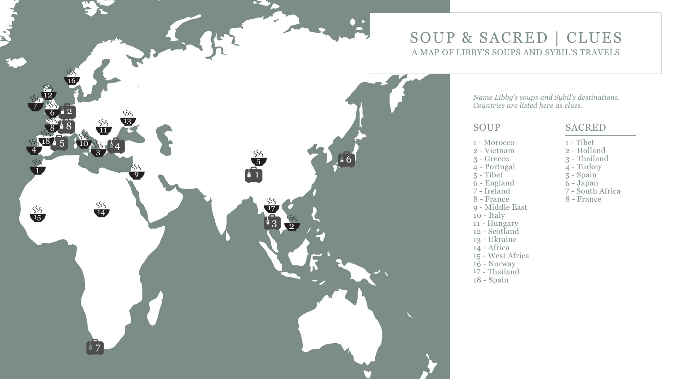

- 1 Morocco
- 2 Vietnam
- 3 Greece
- 4 Portugal
- 5 Tibet
- 6 England 7 Ireland
- 
- 8 France
- 9 Middle East
- 10 Italy
- 11 Hungary
- 12 Scotland
- 13 Ukraine
- 14 Africa
- 15 West Africa
- 16 Norway
- 17 Thailand
- 18 Spain

*Name Libby's soups and Sybil's destinations. Countries are listed here as clues.*

#### SACRED

- 1 Tibet
- 2 Holland
- 3 Thailand
- 4 Turkey
- 5 Spain
- 
- 6 Japan 7 South Africa
- 8 France



# SOUP & SACRED | CLUES A MAP OF LIBBY'S SOUPS AND SYBIL'S TRAVELS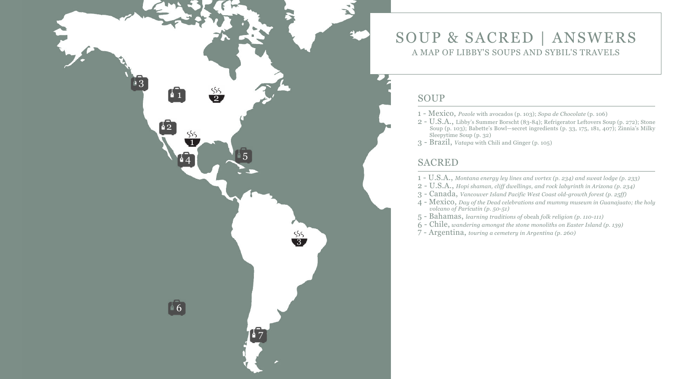- 1 Mexico, *Pozole* with avocados (p. 103); *Sopa de Chocolate* (p. 106)
- 2 U.S.A., Libby's Summer Borscht (83-84); Refrigerator Leftovers Soup (p. 272); Stone Soup (p. 103); Babette's Bowl—secret ingredients (p. 33, 175, 181, 407); Zinnia's Milky Sleepytime Soup (p. 32)
- 3 Brazil, *Vatapa* with Chili and Ginger (p. 105)

#### SACRED

- 1 U.S.A., *Montana energy ley lines and vortex (p. 234) and sweat lodge (p. 233)*
- 2 U.S.A., *Hopi shaman, cliff dwellings, and rock labyrinth in Arizona (p. 234)*
- 3 Canada, *Vancouver Island Pacific West Coast old-growth forest (p. 25ff)*
- 4 Mexico, *Day of the Dead celebrations and mummy museum in Guanajuato; the holy volcano of Parícutin (p. 50-51)*
- 5 Bahamas, *learning traditions of* obeah *folk religion (p. 110-111)*
- 6 Chile, *wandering amongst the stone monoliths on Easter Island (p. 139)*
- 7 Argentina, *touring a cemetery in Argentina (p. 260)*







## SOUP & SACRED | ANSWERS A MAP OF LIBBY'S SOUPS AND SYBIL'S TRAVELS